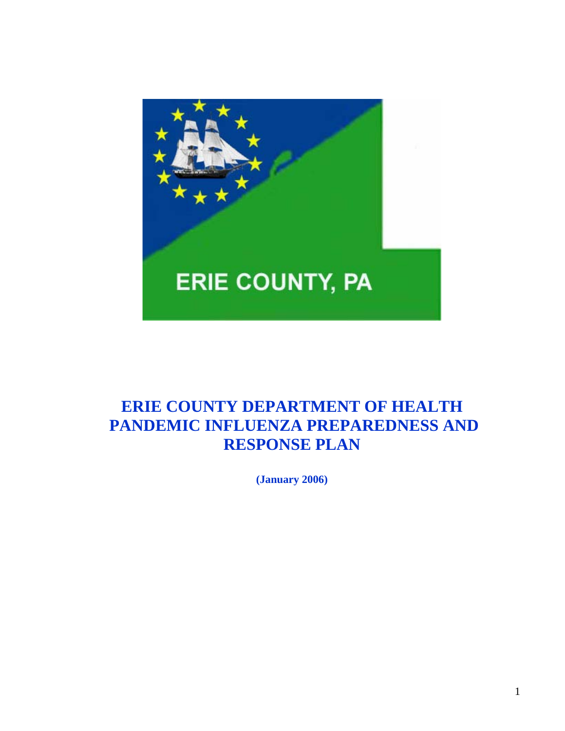

# **ERIE COUNTY DEPARTMENT OF HEALTH PANDEMIC INFLUENZA PREPAREDNESS AND RESPONSE PLAN**

 **(January 2006)**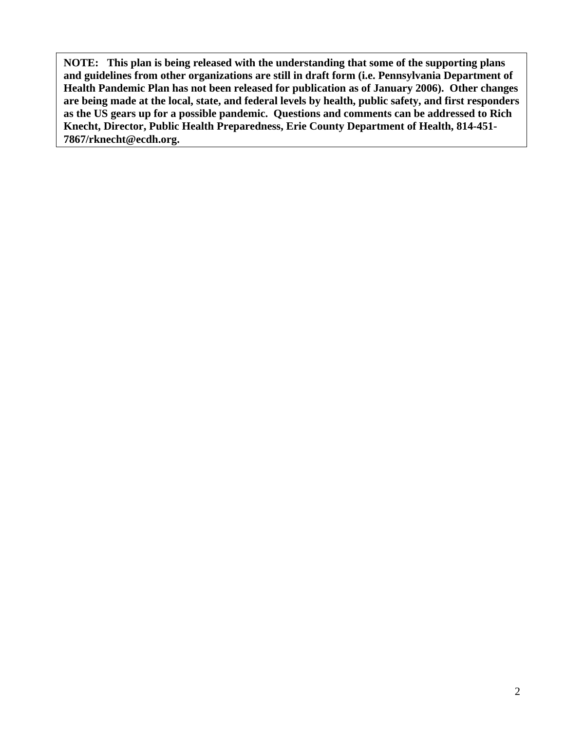**NOTE: This plan is being released with the understanding that some of the supporting plans and guidelines from other organizations are still in draft form (i.e. Pennsylvania Department of Health Pandemic Plan has not been released for publication as of January 2006). Other changes are being made at the local, state, and federal levels by health, public safety, and first responders as the US gears up for a possible pandemic. Questions and comments can be addressed to Rich Knecht, Director, Public Health Preparedness, Erie County Department of Health, 814-451- 7867/rknecht@ecdh.org.**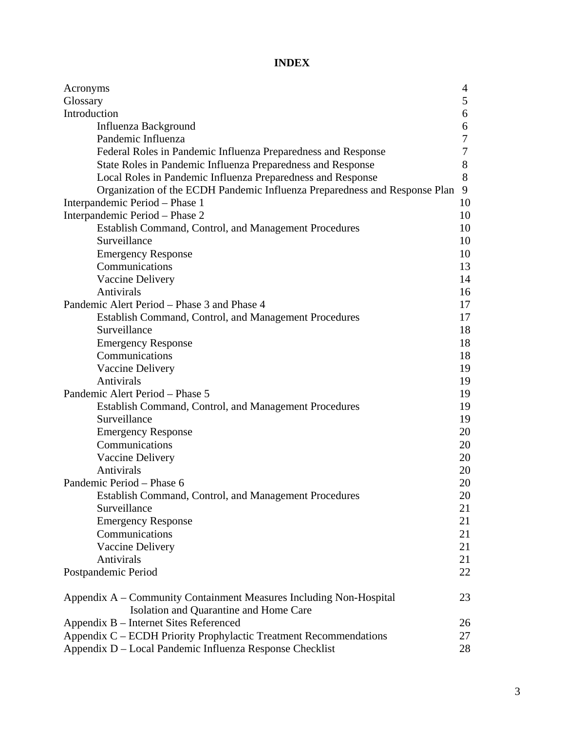#### **INDEX**

| Acronyms                                                                   | 4  |
|----------------------------------------------------------------------------|----|
| Glossary                                                                   | 5  |
| Introduction                                                               | 6  |
| Influenza Background                                                       | 6  |
| Pandemic Influenza                                                         | 7  |
| Federal Roles in Pandemic Influenza Preparedness and Response              | 7  |
| State Roles in Pandemic Influenza Preparedness and Response                | 8  |
| Local Roles in Pandemic Influenza Preparedness and Response                | 8  |
| Organization of the ECDH Pandemic Influenza Preparedness and Response Plan | 9  |
| Interpandemic Period - Phase 1                                             | 10 |
| Interpandemic Period - Phase 2                                             | 10 |
| Establish Command, Control, and Management Procedures                      | 10 |
| Surveillance                                                               | 10 |
| <b>Emergency Response</b>                                                  | 10 |
| Communications                                                             | 13 |
| Vaccine Delivery                                                           | 14 |
| Antivirals                                                                 | 16 |
| Pandemic Alert Period – Phase 3 and Phase 4                                | 17 |
| Establish Command, Control, and Management Procedures                      | 17 |
| Surveillance                                                               | 18 |
| <b>Emergency Response</b>                                                  | 18 |
| Communications                                                             | 18 |
| Vaccine Delivery                                                           | 19 |
| Antivirals                                                                 | 19 |
| Pandemic Alert Period - Phase 5                                            | 19 |
| Establish Command, Control, and Management Procedures                      | 19 |
| Surveillance                                                               | 19 |
| <b>Emergency Response</b>                                                  | 20 |
| Communications                                                             | 20 |
| Vaccine Delivery                                                           | 20 |
| Antivirals                                                                 | 20 |
| Pandemic Period - Phase 6                                                  | 20 |
| Establish Command, Control, and Management Procedures                      | 20 |
| Surveillance                                                               | 21 |
| <b>Emergency Response</b>                                                  | 21 |
| Communications                                                             | 21 |
| Vaccine Delivery                                                           | 21 |
| Antivirals                                                                 | 21 |
| Postpandemic Period                                                        | 22 |
| Appendix A – Community Containment Measures Including Non-Hospital         | 23 |
| Isolation and Quarantine and Home Care                                     |    |
| Appendix B – Internet Sites Referenced                                     | 26 |
| Appendix C - ECDH Priority Prophylactic Treatment Recommendations          | 27 |
| Appendix D – Local Pandemic Influenza Response Checklist                   | 28 |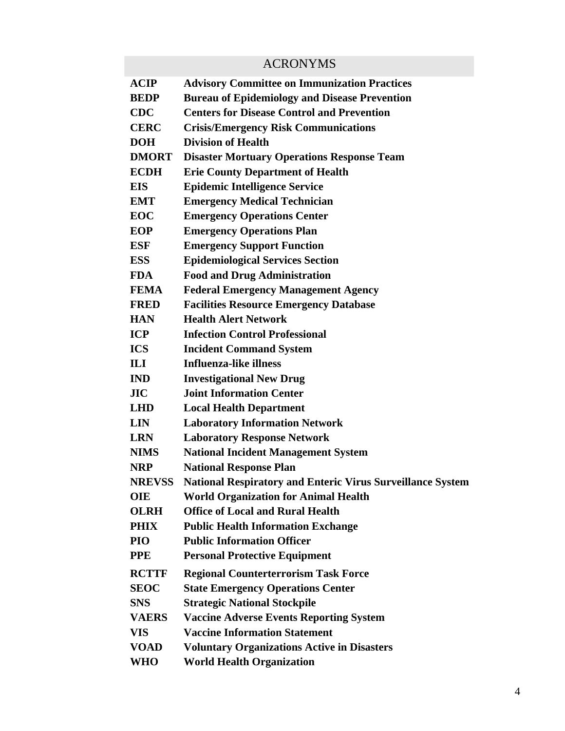### ACRONYMS

| ACIP          | <b>Advisory Committee on Immunization Practices</b>               |
|---------------|-------------------------------------------------------------------|
| BEDP          | <b>Bureau of Epidemiology and Disease Prevention</b>              |
| <b>CDC</b>    | <b>Centers for Disease Control and Prevention</b>                 |
| <b>CERC</b>   | <b>Crisis/Emergency Risk Communications</b>                       |
| DOH           | <b>Division of Health</b>                                         |
| <b>DMORT</b>  | <b>Disaster Mortuary Operations Response Team</b>                 |
| ECDH          | <b>Erie County Department of Health</b>                           |
| EIS           | <b>Epidemic Intelligence Service</b>                              |
| EMT           | <b>Emergency Medical Technician</b>                               |
| EOC           | <b>Emergency Operations Center</b>                                |
| EOP           | <b>Emergency Operations Plan</b>                                  |
| ESF           | <b>Emergency Support Function</b>                                 |
| ESS           | <b>Epidemiological Services Section</b>                           |
| FDA           | <b>Food and Drug Administration</b>                               |
| <b>FEMA</b>   | <b>Federal Emergency Management Agency</b>                        |
| FRED          | <b>Facilities Resource Emergency Database</b>                     |
| <b>HAN</b>    | <b>Health Alert Network</b>                                       |
| ICP           | <b>Infection Control Professional</b>                             |
| ICS           | <b>Incident Command System</b>                                    |
| IП            | Influenza-like illness                                            |
| IND           | <b>Investigational New Drug</b>                                   |
| ЛC            | <b>Joint Information Center</b>                                   |
| LHD           | <b>Local Health Department</b>                                    |
| LIN           | <b>Laboratory Information Network</b>                             |
| <b>LRN</b>    | <b>Laboratory Response Network</b>                                |
| <b>NIMS</b>   | <b>National Incident Management System</b>                        |
| NRP           | <b>National Response Plan</b>                                     |
| <b>NREVSS</b> | <b>National Respiratory and Enteric Virus Surveillance System</b> |
| OIE           | <b>World Organization for Animal Health</b>                       |
| <b>OLRH</b>   | <b>Office of Local and Rural Health</b>                           |
| PHIX          | <b>Public Health Information Exchange</b>                         |
| PIO           | <b>Public Information Officer</b>                                 |
| PPE           | <b>Personal Protective Equipment</b>                              |
| <b>RCTTF</b>  | <b>Regional Counterterrorism Task Force</b>                       |
| SEOC          | <b>State Emergency Operations Center</b>                          |
| SNS           | <b>Strategic National Stockpile</b>                               |
| <b>VAERS</b>  | <b>Vaccine Adverse Events Reporting System</b>                    |
| VIS           | <b>Vaccine Information Statement</b>                              |
| VOAD          | <b>Voluntary Organizations Active in Disasters</b>                |
| WHO           | <b>World Health Organization</b>                                  |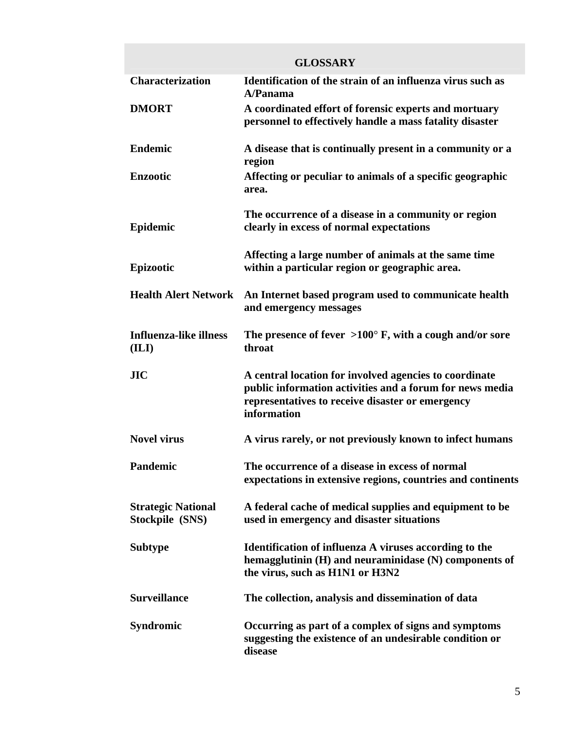|                                              | <b>GLOSSARY</b>                                                                                                                                                                       |
|----------------------------------------------|---------------------------------------------------------------------------------------------------------------------------------------------------------------------------------------|
| <b>Characterization</b>                      | Identification of the strain of an influenza virus such as<br>A/Panama                                                                                                                |
| <b>DMORT</b>                                 | A coordinated effort of forensic experts and mortuary<br>personnel to effectively handle a mass fatality disaster                                                                     |
| <b>Endemic</b>                               | A disease that is continually present in a community or a<br>region                                                                                                                   |
| <b>Enzootic</b>                              | Affecting or peculiar to animals of a specific geographic<br>area.                                                                                                                    |
| Epidemic                                     | The occurrence of a disease in a community or region<br>clearly in excess of normal expectations                                                                                      |
| Epizootic                                    | Affecting a large number of animals at the same time<br>within a particular region or geographic area.                                                                                |
| <b>Health Alert Network</b>                  | An Internet based program used to communicate health<br>and emergency messages                                                                                                        |
| <b>Influenza-like illness</b><br>(ILI)       | The presence of fever $>100^{\circ}$ F, with a cough and/or sore<br>throat                                                                                                            |
| JIC                                          | A central location for involved agencies to coordinate<br>public information activities and a forum for news media<br>representatives to receive disaster or emergency<br>information |
| <b>Novel virus</b>                           | A virus rarely, or not previously known to infect humans                                                                                                                              |
| <b>Pandemic</b>                              | The occurrence of a disease in excess of normal<br>expectations in extensive regions, countries and continents                                                                        |
| <b>Strategic National</b><br>Stockpile (SNS) | A federal cache of medical supplies and equipment to be<br>used in emergency and disaster situations                                                                                  |
| <b>Subtype</b>                               | Identification of influenza A viruses according to the<br>hemagglutinin (H) and neuraminidase (N) components of<br>the virus, such as H1N1 or H3N2                                    |
| <b>Surveillance</b>                          | The collection, analysis and dissemination of data                                                                                                                                    |
| <b>Syndromic</b>                             | Occurring as part of a complex of signs and symptoms<br>suggesting the existence of an undesirable condition or<br>disease                                                            |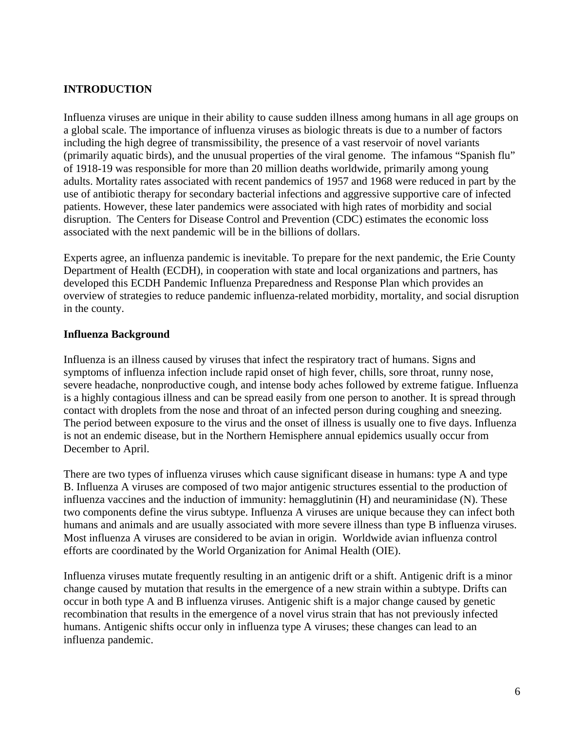#### **INTRODUCTION**

Influenza viruses are unique in their ability to cause sudden illness among humans in all age groups on a global scale. The importance of influenza viruses as biologic threats is due to a number of factors including the high degree of transmissibility, the presence of a vast reservoir of novel variants (primarily aquatic birds), and the unusual properties of the viral genome. The infamous "Spanish flu" of 1918-19 was responsible for more than 20 million deaths worldwide, primarily among young adults. Mortality rates associated with recent pandemics of 1957 and 1968 were reduced in part by the use of antibiotic therapy for secondary bacterial infections and aggressive supportive care of infected patients. However, these later pandemics were associated with high rates of morbidity and social disruption. The Centers for Disease Control and Prevention (CDC) estimates the economic loss associated with the next pandemic will be in the billions of dollars.

Experts agree, an influenza pandemic is inevitable. To prepare for the next pandemic, the Erie County Department of Health (ECDH), in cooperation with state and local organizations and partners, has developed this ECDH Pandemic Influenza Preparedness and Response Plan which provides an overview of strategies to reduce pandemic influenza-related morbidity, mortality, and social disruption in the county.

#### **Influenza Background**

Influenza is an illness caused by viruses that infect the respiratory tract of humans. Signs and symptoms of influenza infection include rapid onset of high fever, chills, sore throat, runny nose, severe headache, nonproductive cough, and intense body aches followed by extreme fatigue. Influenza is a highly contagious illness and can be spread easily from one person to another. It is spread through contact with droplets from the nose and throat of an infected person during coughing and sneezing. The period between exposure to the virus and the onset of illness is usually one to five days. Influenza is not an endemic disease, but in the Northern Hemisphere annual epidemics usually occur from December to April.

There are two types of influenza viruses which cause significant disease in humans: type A and type B. Influenza A viruses are composed of two major antigenic structures essential to the production of influenza vaccines and the induction of immunity: hemagglutinin (H) and neuraminidase (N). These two components define the virus subtype. Influenza A viruses are unique because they can infect both humans and animals and are usually associated with more severe illness than type B influenza viruses. Most influenza A viruses are considered to be avian in origin. Worldwide avian influenza control efforts are coordinated by the World Organization for Animal Health (OIE).

Influenza viruses mutate frequently resulting in an antigenic drift or a shift. Antigenic drift is a minor change caused by mutation that results in the emergence of a new strain within a subtype. Drifts can occur in both type A and B influenza viruses. Antigenic shift is a major change caused by genetic recombination that results in the emergence of a novel virus strain that has not previously infected humans. Antigenic shifts occur only in influenza type A viruses; these changes can lead to an influenza pandemic.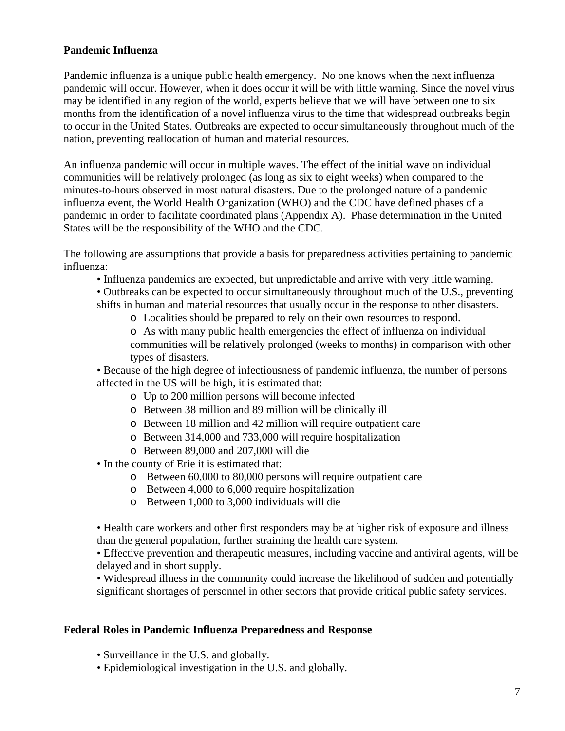#### **Pandemic Influenza**

Pandemic influenza is a unique public health emergency. No one knows when the next influenza pandemic will occur. However, when it does occur it will be with little warning. Since the novel virus may be identified in any region of the world, experts believe that we will have between one to six months from the identification of a novel influenza virus to the time that widespread outbreaks begin to occur in the United States. Outbreaks are expected to occur simultaneously throughout much of the nation, preventing reallocation of human and material resources.

An influenza pandemic will occur in multiple waves. The effect of the initial wave on individual communities will be relatively prolonged (as long as six to eight weeks) when compared to the minutes-to-hours observed in most natural disasters. Due to the prolonged nature of a pandemic influenza event, the World Health Organization (WHO) and the CDC have defined phases of a pandemic in order to facilitate coordinated plans (Appendix A). Phase determination in the United States will be the responsibility of the WHO and the CDC.

The following are assumptions that provide a basis for preparedness activities pertaining to pandemic influenza:

- Influenza pandemics are expected, but unpredictable and arrive with very little warning.
- Outbreaks can be expected to occur simultaneously throughout much of the U.S., preventing shifts in human and material resources that usually occur in the response to other disasters.
	- o Localities should be prepared to rely on their own resources to respond.
	- o As with many public health emergencies the effect of influenza on individual communities will be relatively prolonged (weeks to months) in comparison with other types of disasters.

• Because of the high degree of infectiousness of pandemic influenza, the number of persons affected in the US will be high, it is estimated that:

- o Up to 200 million persons will become infected
- o Between 38 million and 89 million will be clinically ill
- o Between 18 million and 42 million will require outpatient care
- o Between 314,000 and 733,000 will require hospitalization
- o Between 89,000 and 207,000 will die
- In the county of Erie it is estimated that:
	- o Between 60,000 to 80,000 persons will require outpatient care
	- o Between 4,000 to 6,000 require hospitalization
	- o Between 1,000 to 3,000 individuals will die

• Health care workers and other first responders may be at higher risk of exposure and illness than the general population, further straining the health care system.

• Effective prevention and therapeutic measures, including vaccine and antiviral agents, will be delayed and in short supply.

• Widespread illness in the community could increase the likelihood of sudden and potentially significant shortages of personnel in other sectors that provide critical public safety services.

#### **Federal Roles in Pandemic Influenza Preparedness and Response**

- Surveillance in the U.S. and globally.
- Epidemiological investigation in the U.S. and globally.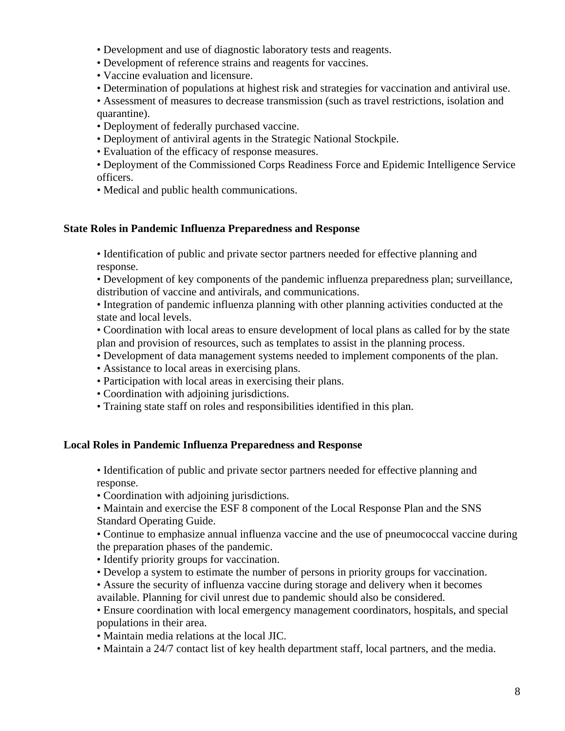- Development and use of diagnostic laboratory tests and reagents.
- Development of reference strains and reagents for vaccines.
- Vaccine evaluation and licensure.
- Determination of populations at highest risk and strategies for vaccination and antiviral use.

• Assessment of measures to decrease transmission (such as travel restrictions, isolation and quarantine).

- Deployment of federally purchased vaccine.
- Deployment of antiviral agents in the Strategic National Stockpile.
- Evaluation of the efficacy of response measures.
- Deployment of the Commissioned Corps Readiness Force and Epidemic Intelligence Service officers.
- Medical and public health communications.

#### **State Roles in Pandemic Influenza Preparedness and Response**

• Identification of public and private sector partners needed for effective planning and response.

• Development of key components of the pandemic influenza preparedness plan; surveillance, distribution of vaccine and antivirals, and communications.

• Integration of pandemic influenza planning with other planning activities conducted at the state and local levels.

• Coordination with local areas to ensure development of local plans as called for by the state plan and provision of resources, such as templates to assist in the planning process.

- Development of data management systems needed to implement components of the plan.
- Assistance to local areas in exercising plans.
- Participation with local areas in exercising their plans.
- Coordination with adjoining jurisdictions.
- Training state staff on roles and responsibilities identified in this plan.

#### **Local Roles in Pandemic Influenza Preparedness and Response**

• Identification of public and private sector partners needed for effective planning and response.

• Coordination with adjoining jurisdictions.

• Maintain and exercise the ESF 8 component of the Local Response Plan and the SNS Standard Operating Guide.

• Continue to emphasize annual influenza vaccine and the use of pneumococcal vaccine during the preparation phases of the pandemic.

- Identify priority groups for vaccination.
- Develop a system to estimate the number of persons in priority groups for vaccination.
- Assure the security of influenza vaccine during storage and delivery when it becomes available. Planning for civil unrest due to pandemic should also be considered.
- Ensure coordination with local emergency management coordinators, hospitals, and special populations in their area.
- Maintain media relations at the local JIC.
- Maintain a 24/7 contact list of key health department staff, local partners, and the media.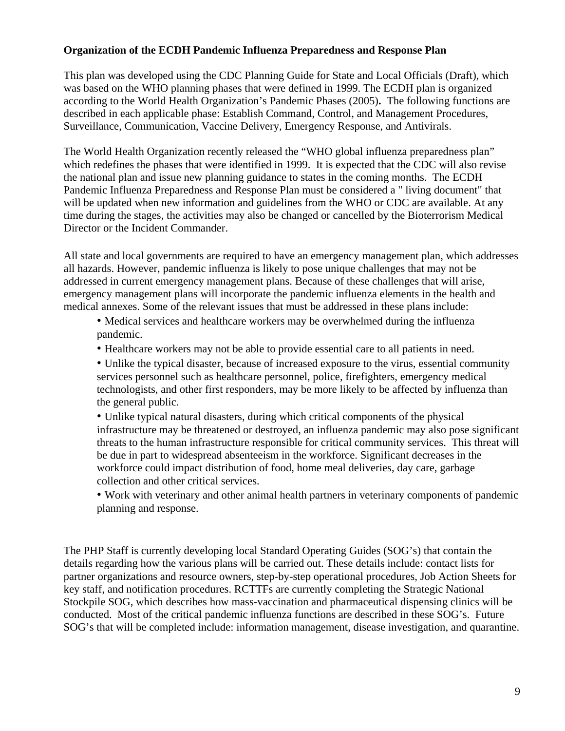#### **Organization of the ECDH Pandemic Influenza Preparedness and Response Plan**

This plan was developed using the CDC Planning Guide for State and Local Officials (Draft), which was based on the WHO planning phases that were defined in 1999. The ECDH plan is organized according to the World Health Organization's Pandemic Phases (2005)**.** The following functions are described in each applicable phase: Establish Command, Control, and Management Procedures, Surveillance, Communication, Vaccine Delivery, Emergency Response, and Antivirals.

The World Health Organization recently released the "WHO global influenza preparedness plan" which redefines the phases that were identified in 1999. It is expected that the CDC will also revise the national plan and issue new planning guidance to states in the coming months. The ECDH Pandemic Influenza Preparedness and Response Plan must be considered a " living document" that will be updated when new information and guidelines from the WHO or CDC are available. At any time during the stages, the activities may also be changed or cancelled by the Bioterrorism Medical Director or the Incident Commander.

All state and local governments are required to have an emergency management plan, which addresses all hazards. However, pandemic influenza is likely to pose unique challenges that may not be addressed in current emergency management plans. Because of these challenges that will arise, emergency management plans will incorporate the pandemic influenza elements in the health and medical annexes. Some of the relevant issues that must be addressed in these plans include:

• Medical services and healthcare workers may be overwhelmed during the influenza pandemic.

• Healthcare workers may not be able to provide essential care to all patients in need.

• Unlike the typical disaster, because of increased exposure to the virus, essential community services personnel such as healthcare personnel, police, firefighters, emergency medical technologists, and other first responders, may be more likely to be affected by influenza than the general public.

• Unlike typical natural disasters, during which critical components of the physical infrastructure may be threatened or destroyed, an influenza pandemic may also pose significant threats to the human infrastructure responsible for critical community services. This threat will be due in part to widespread absenteeism in the workforce. Significant decreases in the workforce could impact distribution of food, home meal deliveries, day care, garbage collection and other critical services.

• Work with veterinary and other animal health partners in veterinary components of pandemic planning and response.

The PHP Staff is currently developing local Standard Operating Guides (SOG's) that contain the details regarding how the various plans will be carried out. These details include: contact lists for partner organizations and resource owners, step-by-step operational procedures, Job Action Sheets for key staff, and notification procedures. RCTTFs are currently completing the Strategic National Stockpile SOG, which describes how mass-vaccination and pharmaceutical dispensing clinics will be conducted. Most of the critical pandemic influenza functions are described in these SOG's. Future SOG's that will be completed include: information management, disease investigation, and quarantine.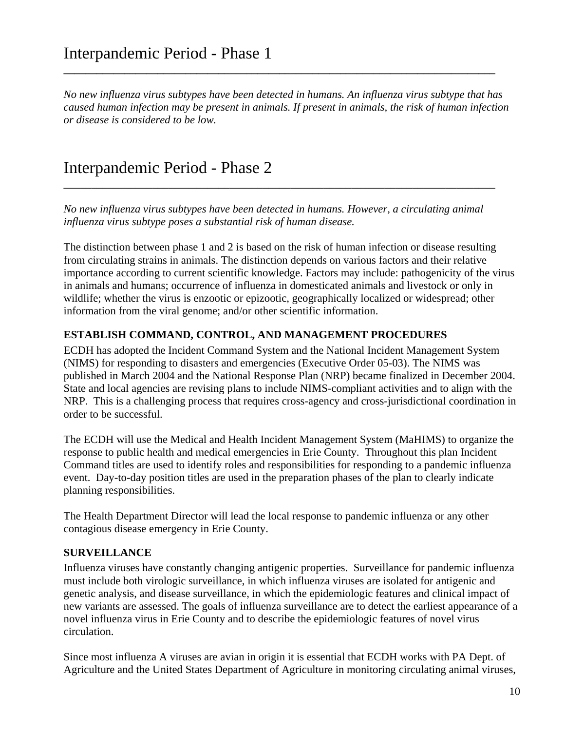*No new influenza virus subtypes have been detected in humans. An influenza virus subtype that has caused human infection may be present in animals. If present in animals, the risk of human infection or disease is considered to be low.*

**\_\_\_\_\_\_\_\_\_\_\_\_\_\_\_\_\_\_\_\_\_\_\_\_\_\_\_\_\_\_\_\_\_\_\_\_\_\_\_\_\_\_\_\_\_\_\_\_\_\_\_\_\_\_\_\_\_\_\_\_\_\_\_\_\_\_\_\_\_\_\_\_\_\_\_\_\_\_** 

## Interpandemic Period - Phase 2

*No new influenza virus subtypes have been detected in humans. However, a circulating animal influenza virus subtype poses a substantial risk of human disease.* 

\_\_\_\_\_\_\_\_\_\_\_\_\_\_\_\_\_\_\_\_\_\_\_\_\_\_\_\_\_\_\_\_\_\_\_\_\_\_\_\_\_\_\_\_\_\_\_\_\_\_\_\_\_\_\_\_\_\_\_\_\_\_\_\_\_\_\_\_\_\_\_\_\_\_\_\_\_\_

The distinction between phase 1 and 2 is based on the risk of human infection or disease resulting from circulating strains in animals. The distinction depends on various factors and their relative importance according to current scientific knowledge. Factors may include: pathogenicity of the virus in animals and humans; occurrence of influenza in domesticated animals and livestock or only in wildlife; whether the virus is enzootic or epizootic, geographically localized or widespread; other information from the viral genome; and/or other scientific information.

#### **ESTABLISH COMMAND, CONTROL, AND MANAGEMENT PROCEDURES**

ECDH has adopted the Incident Command System and the National Incident Management System (NIMS) for responding to disasters and emergencies (Executive Order 05-03). The NIMS was published in March 2004 and the National Response Plan (NRP) became finalized in December 2004. State and local agencies are revising plans to include NIMS-compliant activities and to align with the NRP. This is a challenging process that requires cross-agency and cross-jurisdictional coordination in order to be successful.

The ECDH will use the Medical and Health Incident Management System (MaHIMS) to organize the response to public health and medical emergencies in Erie County. Throughout this plan Incident Command titles are used to identify roles and responsibilities for responding to a pandemic influenza event. Day-to-day position titles are used in the preparation phases of the plan to clearly indicate planning responsibilities.

The Health Department Director will lead the local response to pandemic influenza or any other contagious disease emergency in Erie County.

#### **SURVEILLANCE**

Influenza viruses have constantly changing antigenic properties. Surveillance for pandemic influenza must include both virologic surveillance, in which influenza viruses are isolated for antigenic and genetic analysis, and disease surveillance, in which the epidemiologic features and clinical impact of new variants are assessed. The goals of influenza surveillance are to detect the earliest appearance of a novel influenza virus in Erie County and to describe the epidemiologic features of novel virus circulation.

Since most influenza A viruses are avian in origin it is essential that ECDH works with PA Dept. of Agriculture and the United States Department of Agriculture in monitoring circulating animal viruses,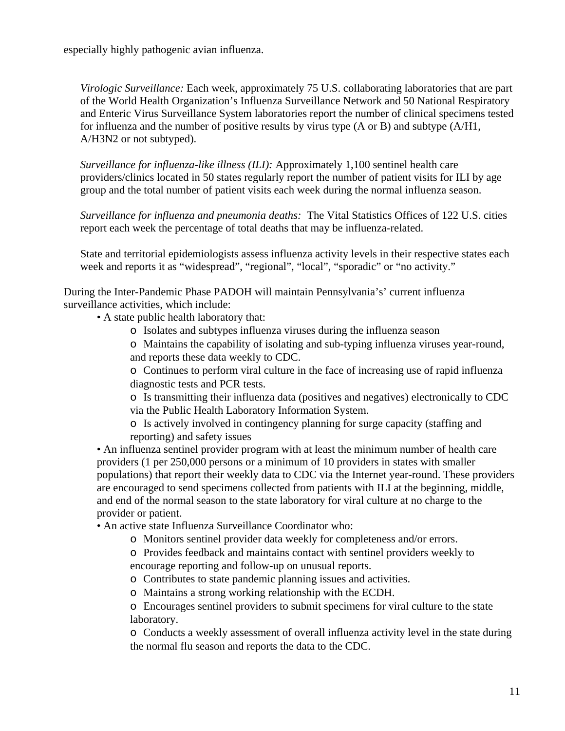especially highly pathogenic avian influenza.

*Virologic Surveillance:* Each week, approximately 75 U.S. collaborating laboratories that are part of the World Health Organization's Influenza Surveillance Network and 50 National Respiratory and Enteric Virus Surveillance System laboratories report the number of clinical specimens tested for influenza and the number of positive results by virus type (A or B) and subtype (A/H1, A/H3N2 or not subtyped).

*Surveillance for influenza-like illness (ILI):* Approximately 1,100 sentinel health care providers/clinics located in 50 states regularly report the number of patient visits for ILI by age group and the total number of patient visits each week during the normal influenza season.

*Surveillance for influenza and pneumonia deaths:* The Vital Statistics Offices of 122 U.S. cities report each week the percentage of total deaths that may be influenza-related.

State and territorial epidemiologists assess influenza activity levels in their respective states each week and reports it as "widespread", "regional", "local", "sporadic" or "no activity."

During the Inter-Pandemic Phase PADOH will maintain Pennsylvania's' current influenza surveillance activities, which include:

• A state public health laboratory that:

- o Isolates and subtypes influenza viruses during the influenza season
- o Maintains the capability of isolating and sub-typing influenza viruses year-round, and reports these data weekly to CDC.

o Continues to perform viral culture in the face of increasing use of rapid influenza diagnostic tests and PCR tests.

o Is transmitting their influenza data (positives and negatives) electronically to CDC via the Public Health Laboratory Information System.

o Is actively involved in contingency planning for surge capacity (staffing and reporting) and safety issues

• An influenza sentinel provider program with at least the minimum number of health care providers (1 per 250,000 persons or a minimum of 10 providers in states with smaller populations) that report their weekly data to CDC via the Internet year-round. These providers are encouraged to send specimens collected from patients with ILI at the beginning, middle, and end of the normal season to the state laboratory for viral culture at no charge to the provider or patient.

• An active state Influenza Surveillance Coordinator who:

o Monitors sentinel provider data weekly for completeness and/or errors.

o Provides feedback and maintains contact with sentinel providers weekly to encourage reporting and follow-up on unusual reports.

- o Contributes to state pandemic planning issues and activities.
- o Maintains a strong working relationship with the ECDH.

o Encourages sentinel providers to submit specimens for viral culture to the state laboratory.

o Conducts a weekly assessment of overall influenza activity level in the state during the normal flu season and reports the data to the CDC.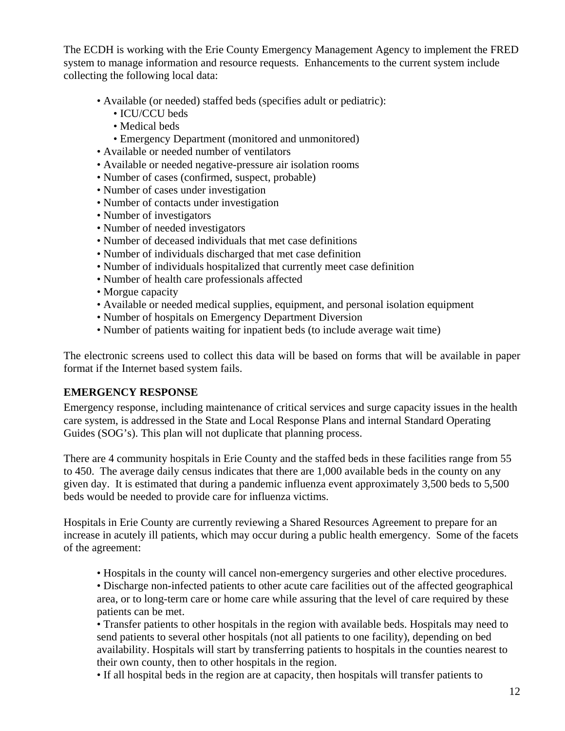The ECDH is working with the Erie County Emergency Management Agency to implement the FRED system to manage information and resource requests. Enhancements to the current system include collecting the following local data:

- Available (or needed) staffed beds (specifies adult or pediatric):
	- ICU/CCU beds
	- Medical beds
	- Emergency Department (monitored and unmonitored)
- Available or needed number of ventilators
- Available or needed negative-pressure air isolation rooms
- Number of cases (confirmed, suspect, probable)
- Number of cases under investigation
- Number of contacts under investigation
- Number of investigators
- Number of needed investigators
- Number of deceased individuals that met case definitions
- Number of individuals discharged that met case definition
- Number of individuals hospitalized that currently meet case definition
- Number of health care professionals affected
- Morgue capacity
- Available or needed medical supplies, equipment, and personal isolation equipment
- Number of hospitals on Emergency Department Diversion
- Number of patients waiting for inpatient beds (to include average wait time)

The electronic screens used to collect this data will be based on forms that will be available in paper format if the Internet based system fails.

#### **EMERGENCY RESPONSE**

Emergency response, including maintenance of critical services and surge capacity issues in the health care system, is addressed in the State and Local Response Plans and internal Standard Operating Guides (SOG's). This plan will not duplicate that planning process.

There are 4 community hospitals in Erie County and the staffed beds in these facilities range from 55 to 450. The average daily census indicates that there are 1,000 available beds in the county on any given day. It is estimated that during a pandemic influenza event approximately 3,500 beds to 5,500 beds would be needed to provide care for influenza victims.

Hospitals in Erie County are currently reviewing a Shared Resources Agreement to prepare for an increase in acutely ill patients, which may occur during a public health emergency. Some of the facets of the agreement:

• Hospitals in the county will cancel non-emergency surgeries and other elective procedures.

• Discharge non-infected patients to other acute care facilities out of the affected geographical area, or to long-term care or home care while assuring that the level of care required by these patients can be met.

• Transfer patients to other hospitals in the region with available beds. Hospitals may need to send patients to several other hospitals (not all patients to one facility), depending on bed availability. Hospitals will start by transferring patients to hospitals in the counties nearest to their own county, then to other hospitals in the region.

• If all hospital beds in the region are at capacity, then hospitals will transfer patients to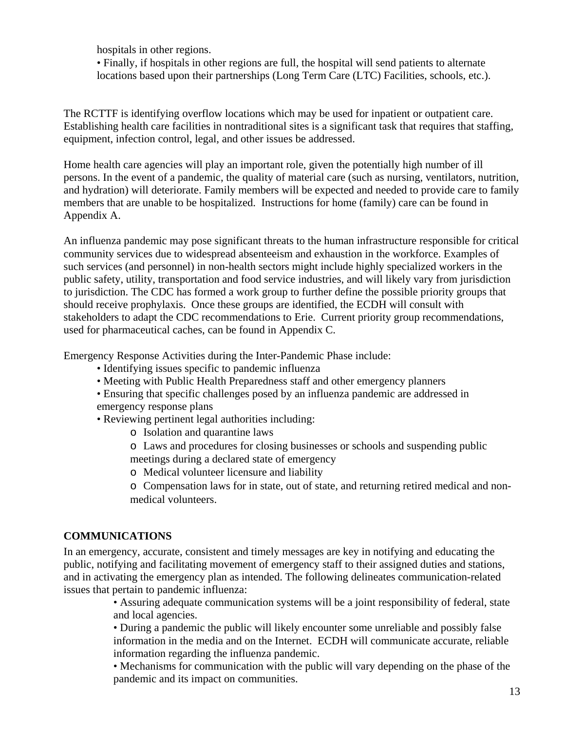hospitals in other regions.

• Finally, if hospitals in other regions are full, the hospital will send patients to alternate locations based upon their partnerships (Long Term Care (LTC) Facilities, schools, etc.).

The RCTTF is identifying overflow locations which may be used for inpatient or outpatient care. Establishing health care facilities in nontraditional sites is a significant task that requires that staffing, equipment, infection control, legal, and other issues be addressed.

Home health care agencies will play an important role, given the potentially high number of ill persons. In the event of a pandemic, the quality of material care (such as nursing, ventilators, nutrition, and hydration) will deteriorate. Family members will be expected and needed to provide care to family members that are unable to be hospitalized. Instructions for home (family) care can be found in Appendix A.

An influenza pandemic may pose significant threats to the human infrastructure responsible for critical community services due to widespread absenteeism and exhaustion in the workforce. Examples of such services (and personnel) in non-health sectors might include highly specialized workers in the public safety, utility, transportation and food service industries, and will likely vary from jurisdiction to jurisdiction. The CDC has formed a work group to further define the possible priority groups that should receive prophylaxis. Once these groups are identified, the ECDH will consult with stakeholders to adapt the CDC recommendations to Erie. Current priority group recommendations, used for pharmaceutical caches, can be found in Appendix C.

Emergency Response Activities during the Inter-Pandemic Phase include:

- Identifying issues specific to pandemic influenza
- Meeting with Public Health Preparedness staff and other emergency planners
- Ensuring that specific challenges posed by an influenza pandemic are addressed in emergency response plans
- Reviewing pertinent legal authorities including:
	- o Isolation and quarantine laws
	- o Laws and procedures for closing businesses or schools and suspending public meetings during a declared state of emergency
	- o Medical volunteer licensure and liability
	- o Compensation laws for in state, out of state, and returning retired medical and nonmedical volunteers.

#### **COMMUNICATIONS**

In an emergency, accurate, consistent and timely messages are key in notifying and educating the public, notifying and facilitating movement of emergency staff to their assigned duties and stations, and in activating the emergency plan as intended. The following delineates communication-related issues that pertain to pandemic influenza:

> • Assuring adequate communication systems will be a joint responsibility of federal, state and local agencies.

> • During a pandemic the public will likely encounter some unreliable and possibly false information in the media and on the Internet. ECDH will communicate accurate, reliable information regarding the influenza pandemic.

> • Mechanisms for communication with the public will vary depending on the phase of the pandemic and its impact on communities.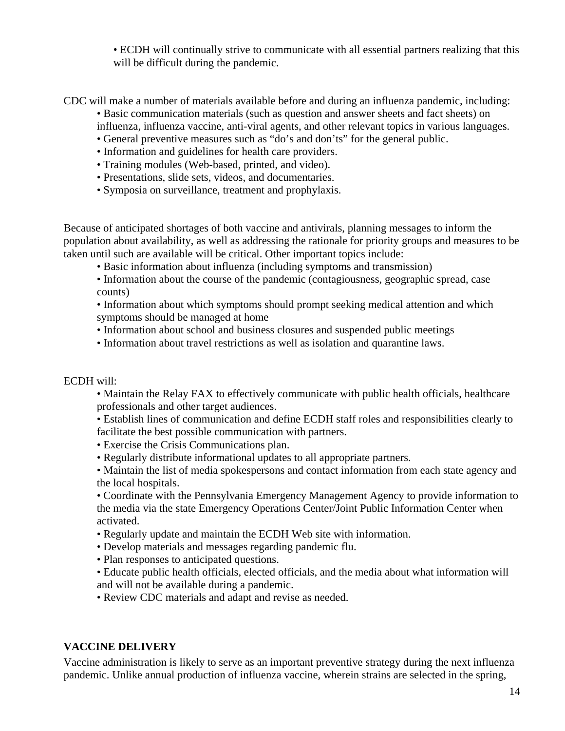• ECDH will continually strive to communicate with all essential partners realizing that this will be difficult during the pandemic.

CDC will make a number of materials available before and during an influenza pandemic, including:

- Basic communication materials (such as question and answer sheets and fact sheets) on influenza, influenza vaccine, anti-viral agents, and other relevant topics in various languages.
- General preventive measures such as "do's and don'ts" for the general public.
- Information and guidelines for health care providers.
- Training modules (Web-based, printed, and video).
- Presentations, slide sets, videos, and documentaries.
- Symposia on surveillance, treatment and prophylaxis.

Because of anticipated shortages of both vaccine and antivirals, planning messages to inform the population about availability, as well as addressing the rationale for priority groups and measures to be taken until such are available will be critical. Other important topics include:

- Basic information about influenza (including symptoms and transmission)
- Information about the course of the pandemic (contagiousness, geographic spread, case counts)

• Information about which symptoms should prompt seeking medical attention and which symptoms should be managed at home

- Information about school and business closures and suspended public meetings
- Information about travel restrictions as well as isolation and quarantine laws.

#### ECDH will:

• Maintain the Relay FAX to effectively communicate with public health officials, healthcare professionals and other target audiences.

• Establish lines of communication and define ECDH staff roles and responsibilities clearly to facilitate the best possible communication with partners.

- Exercise the Crisis Communications plan.
- Regularly distribute informational updates to all appropriate partners.
- Maintain the list of media spokespersons and contact information from each state agency and the local hospitals.

• Coordinate with the Pennsylvania Emergency Management Agency to provide information to the media via the state Emergency Operations Center/Joint Public Information Center when activated.

- Regularly update and maintain the ECDH Web site with information.
- Develop materials and messages regarding pandemic flu.
- Plan responses to anticipated questions.
- Educate public health officials, elected officials, and the media about what information will and will not be available during a pandemic.
- Review CDC materials and adapt and revise as needed.

#### **VACCINE DELIVERY**

Vaccine administration is likely to serve as an important preventive strategy during the next influenza pandemic. Unlike annual production of influenza vaccine, wherein strains are selected in the spring,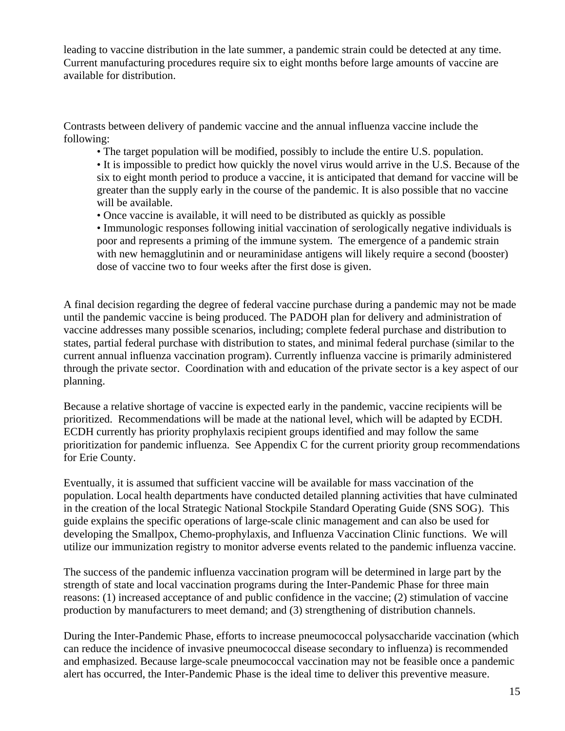leading to vaccine distribution in the late summer, a pandemic strain could be detected at any time. Current manufacturing procedures require six to eight months before large amounts of vaccine are available for distribution.

Contrasts between delivery of pandemic vaccine and the annual influenza vaccine include the following:

• The target population will be modified, possibly to include the entire U.S. population.

• It is impossible to predict how quickly the novel virus would arrive in the U.S. Because of the six to eight month period to produce a vaccine, it is anticipated that demand for vaccine will be greater than the supply early in the course of the pandemic. It is also possible that no vaccine will be available.

• Once vaccine is available, it will need to be distributed as quickly as possible

• Immunologic responses following initial vaccination of serologically negative individuals is poor and represents a priming of the immune system. The emergence of a pandemic strain with new hemagglutinin and or neuraminidase antigens will likely require a second (booster) dose of vaccine two to four weeks after the first dose is given.

A final decision regarding the degree of federal vaccine purchase during a pandemic may not be made until the pandemic vaccine is being produced. The PADOH plan for delivery and administration of vaccine addresses many possible scenarios, including; complete federal purchase and distribution to states, partial federal purchase with distribution to states, and minimal federal purchase (similar to the current annual influenza vaccination program). Currently influenza vaccine is primarily administered through the private sector. Coordination with and education of the private sector is a key aspect of our planning.

Because a relative shortage of vaccine is expected early in the pandemic, vaccine recipients will be prioritized. Recommendations will be made at the national level, which will be adapted by ECDH. ECDH currently has priority prophylaxis recipient groups identified and may follow the same prioritization for pandemic influenza. See Appendix C for the current priority group recommendations for Erie County.

Eventually, it is assumed that sufficient vaccine will be available for mass vaccination of the population. Local health departments have conducted detailed planning activities that have culminated in the creation of the local Strategic National Stockpile Standard Operating Guide (SNS SOG). This guide explains the specific operations of large-scale clinic management and can also be used for developing the Smallpox, Chemo-prophylaxis, and Influenza Vaccination Clinic functions. We will utilize our immunization registry to monitor adverse events related to the pandemic influenza vaccine.

The success of the pandemic influenza vaccination program will be determined in large part by the strength of state and local vaccination programs during the Inter-Pandemic Phase for three main reasons: (1) increased acceptance of and public confidence in the vaccine; (2) stimulation of vaccine production by manufacturers to meet demand; and (3) strengthening of distribution channels.

During the Inter-Pandemic Phase, efforts to increase pneumococcal polysaccharide vaccination (which can reduce the incidence of invasive pneumococcal disease secondary to influenza) is recommended and emphasized. Because large-scale pneumococcal vaccination may not be feasible once a pandemic alert has occurred, the Inter-Pandemic Phase is the ideal time to deliver this preventive measure.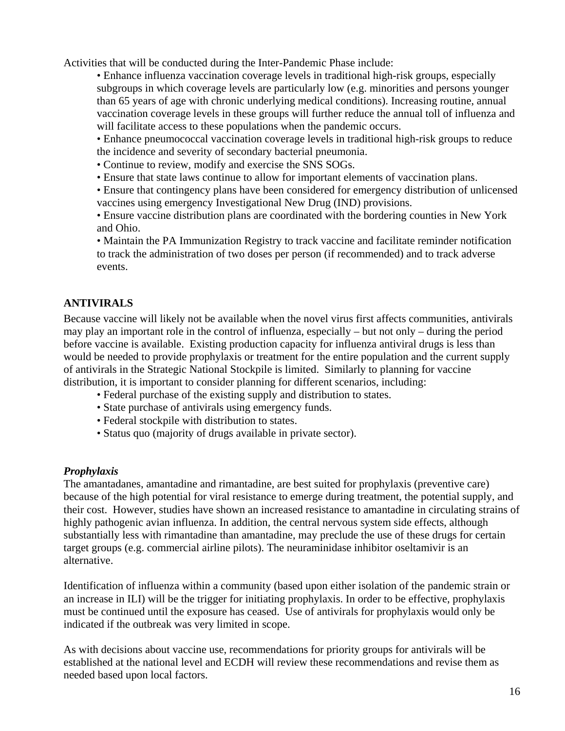Activities that will be conducted during the Inter-Pandemic Phase include:

• Enhance influenza vaccination coverage levels in traditional high-risk groups, especially subgroups in which coverage levels are particularly low (e.g. minorities and persons younger than 65 years of age with chronic underlying medical conditions). Increasing routine, annual vaccination coverage levels in these groups will further reduce the annual toll of influenza and will facilitate access to these populations when the pandemic occurs.

• Enhance pneumococcal vaccination coverage levels in traditional high-risk groups to reduce the incidence and severity of secondary bacterial pneumonia.

- Continue to review, modify and exercise the SNS SOGs.
- Ensure that state laws continue to allow for important elements of vaccination plans.

• Ensure that contingency plans have been considered for emergency distribution of unlicensed vaccines using emergency Investigational New Drug (IND) provisions.

• Ensure vaccine distribution plans are coordinated with the bordering counties in New York and Ohio.

• Maintain the PA Immunization Registry to track vaccine and facilitate reminder notification to track the administration of two doses per person (if recommended) and to track adverse events.

#### **ANTIVIRALS**

Because vaccine will likely not be available when the novel virus first affects communities, antivirals may play an important role in the control of influenza, especially – but not only – during the period before vaccine is available. Existing production capacity for influenza antiviral drugs is less than would be needed to provide prophylaxis or treatment for the entire population and the current supply of antivirals in the Strategic National Stockpile is limited. Similarly to planning for vaccine distribution, it is important to consider planning for different scenarios, including:

- Federal purchase of the existing supply and distribution to states.
- State purchase of antivirals using emergency funds.
- Federal stockpile with distribution to states.
- Status quo (majority of drugs available in private sector).

#### *Prophylaxis*

The amantadanes, amantadine and rimantadine, are best suited for prophylaxis (preventive care) because of the high potential for viral resistance to emerge during treatment, the potential supply, and their cost. However, studies have shown an increased resistance to amantadine in circulating strains of highly pathogenic avian influenza. In addition, the central nervous system side effects, although substantially less with rimantadine than amantadine, may preclude the use of these drugs for certain target groups (e.g. commercial airline pilots). The neuraminidase inhibitor oseltamivir is an alternative.

Identification of influenza within a community (based upon either isolation of the pandemic strain or an increase in ILI) will be the trigger for initiating prophylaxis. In order to be effective, prophylaxis must be continued until the exposure has ceased. Use of antivirals for prophylaxis would only be indicated if the outbreak was very limited in scope.

As with decisions about vaccine use, recommendations for priority groups for antivirals will be established at the national level and ECDH will review these recommendations and revise them as needed based upon local factors.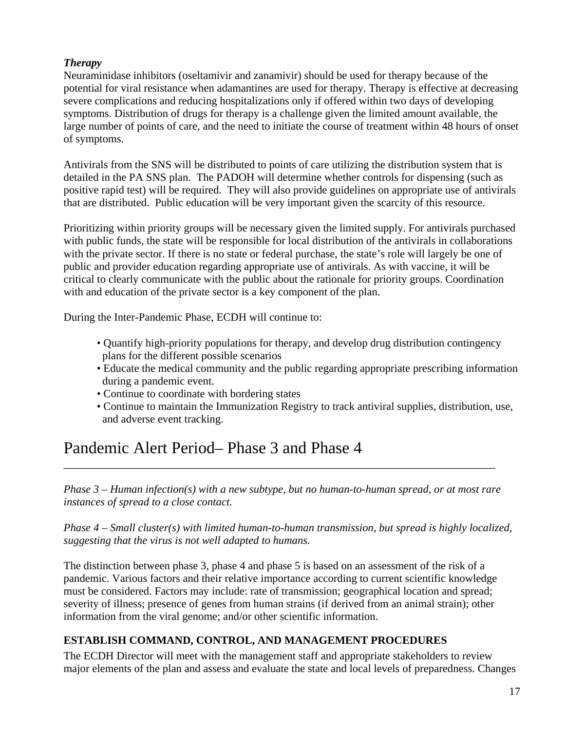#### *Therapy*

Neuraminidase inhibitors (oseltamivir and zanamivir) should be used for therapy because of the potential for viral resistance when adamantines are used for therapy. Therapy is effective at decreasing severe complications and reducing hospitalizations only if offered within two days of developing symptoms. Distribution of drugs for therapy is a challenge given the limited amount available, the large number of points of care, and the need to initiate the course of treatment within 48 hours of onset of symptoms.

Antivirals from the SNS will be distributed to points of care utilizing the distribution system that is detailed in the PA SNS plan. The PADOH will determine whether controls for dispensing (such as positive rapid test) will be required. They will also provide guidelines on appropriate use of antivirals that are distributed. Public education will be very important given the scarcity of this resource.

Prioritizing within priority groups will be necessary given the limited supply. For antivirals purchased with public funds, the state will be responsible for local distribution of the antivirals in collaborations with the private sector. If there is no state or federal purchase, the state's role will largely be one of public and provider education regarding appropriate use of antivirals. As with vaccine, it will be critical to clearly communicate with the public about the rationale for priority groups. Coordination with and education of the private sector is a key component of the plan.

During the Inter-Pandemic Phase, ECDH will continue to:

- Quantify high-priority populations for therapy, and develop drug distribution contingency plans for the different possible scenarios
- Educate the medical community and the public regarding appropriate prescribing information during a pandemic event.
- Continue to coordinate with bordering states
- Continue to maintain the Immunization Registry to track antiviral supplies, distribution, use, and adverse event tracking.

# Pandemic Alert Period– Phase 3 and Phase 4

*Phase 3 – Human infection(s) with a new subtype, but no human-to-human spread, or at most rare instances of spread to a close contact.* 

\_\_\_\_\_\_\_\_\_\_\_\_\_\_\_\_\_\_\_\_\_\_\_\_\_\_\_\_\_\_\_\_\_\_\_\_\_\_\_\_\_\_\_\_\_\_\_\_\_\_\_\_\_\_\_\_\_\_\_\_\_\_\_\_\_\_\_\_\_\_\_\_\_\_\_\_\_\_

*Phase 4 – Small cluster(s) with limited human-to-human transmission, but spread is highly localized, suggesting that the virus is not well adapted to humans.* 

The distinction between phase 3, phase 4 and phase 5 is based on an assessment of the risk of a pandemic. Various factors and their relative importance according to current scientific knowledge must be considered. Factors may include: rate of transmission; geographical location and spread; severity of illness; presence of genes from human strains (if derived from an animal strain); other information from the viral genome; and/or other scientific information.

#### **ESTABLISH COMMAND, CONTROL, AND MANAGEMENT PROCEDURES**

The ECDH Director will meet with the management staff and appropriate stakeholders to review major elements of the plan and assess and evaluate the state and local levels of preparedness. Changes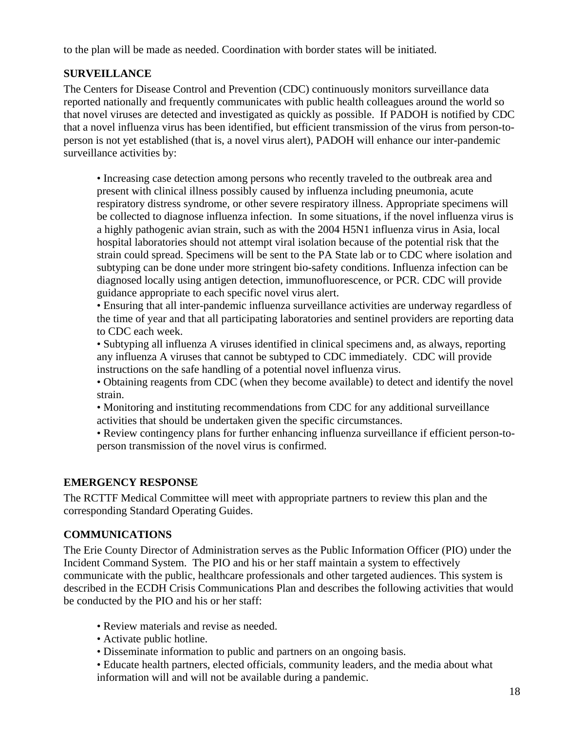to the plan will be made as needed. Coordination with border states will be initiated.

#### **SURVEILLANCE**

The Centers for Disease Control and Prevention (CDC) continuously monitors surveillance data reported nationally and frequently communicates with public health colleagues around the world so that novel viruses are detected and investigated as quickly as possible. If PADOH is notified by CDC that a novel influenza virus has been identified, but efficient transmission of the virus from person-toperson is not yet established (that is, a novel virus alert), PADOH will enhance our inter-pandemic surveillance activities by:

• Increasing case detection among persons who recently traveled to the outbreak area and present with clinical illness possibly caused by influenza including pneumonia, acute respiratory distress syndrome, or other severe respiratory illness. Appropriate specimens will be collected to diagnose influenza infection. In some situations, if the novel influenza virus is a highly pathogenic avian strain, such as with the 2004 H5N1 influenza virus in Asia, local hospital laboratories should not attempt viral isolation because of the potential risk that the strain could spread. Specimens will be sent to the PA State lab or to CDC where isolation and subtyping can be done under more stringent bio-safety conditions. Influenza infection can be diagnosed locally using antigen detection, immunofluorescence, or PCR. CDC will provide guidance appropriate to each specific novel virus alert.

• Ensuring that all inter-pandemic influenza surveillance activities are underway regardless of the time of year and that all participating laboratories and sentinel providers are reporting data to CDC each week.

• Subtyping all influenza A viruses identified in clinical specimens and, as always, reporting any influenza A viruses that cannot be subtyped to CDC immediately. CDC will provide instructions on the safe handling of a potential novel influenza virus.

• Obtaining reagents from CDC (when they become available) to detect and identify the novel strain.

• Monitoring and instituting recommendations from CDC for any additional surveillance activities that should be undertaken given the specific circumstances.

• Review contingency plans for further enhancing influenza surveillance if efficient person-toperson transmission of the novel virus is confirmed.

#### **EMERGENCY RESPONSE**

The RCTTF Medical Committee will meet with appropriate partners to review this plan and the corresponding Standard Operating Guides.

#### **COMMUNICATIONS**

The Erie County Director of Administration serves as the Public Information Officer (PIO) under the Incident Command System. The PIO and his or her staff maintain a system to effectively communicate with the public, healthcare professionals and other targeted audiences. This system is described in the ECDH Crisis Communications Plan and describes the following activities that would be conducted by the PIO and his or her staff:

- Review materials and revise as needed.
- Activate public hotline.
- Disseminate information to public and partners on an ongoing basis.
- Educate health partners, elected officials, community leaders, and the media about what information will and will not be available during a pandemic.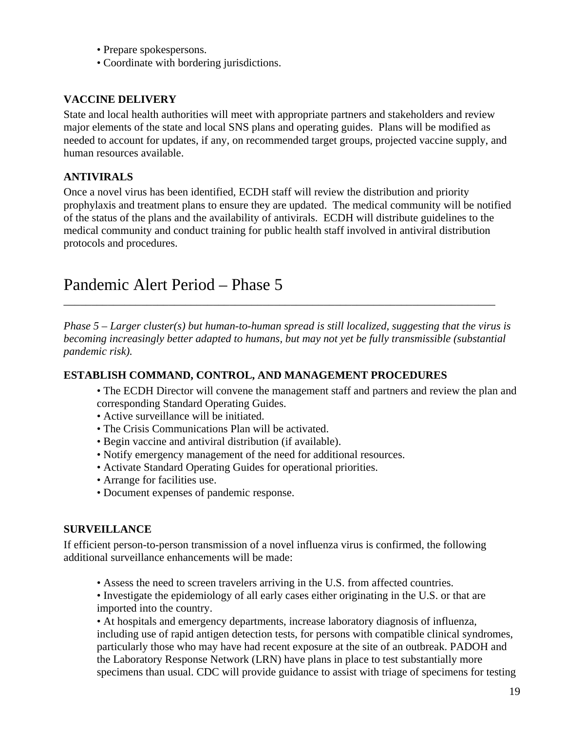- Prepare spokespersons.
- Coordinate with bordering jurisdictions.

#### **VACCINE DELIVERY**

State and local health authorities will meet with appropriate partners and stakeholders and review major elements of the state and local SNS plans and operating guides. Plans will be modified as needed to account for updates, if any, on recommended target groups, projected vaccine supply, and human resources available.

#### **ANTIVIRALS**

Once a novel virus has been identified, ECDH staff will review the distribution and priority prophylaxis and treatment plans to ensure they are updated. The medical community will be notified of the status of the plans and the availability of antivirals. ECDH will distribute guidelines to the medical community and conduct training for public health staff involved in antiviral distribution protocols and procedures.

### Pandemic Alert Period – Phase 5

*Phase 5 – Larger cluster(s) but human-to-human spread is still localized, suggesting that the virus is becoming increasingly better adapted to humans, but may not yet be fully transmissible (substantial pandemic risk).* 

\_\_\_\_\_\_\_\_\_\_\_\_\_\_\_\_\_\_\_\_\_\_\_\_\_\_\_\_\_\_\_\_\_\_\_\_\_\_\_\_\_\_\_\_\_\_\_\_\_\_\_\_\_\_\_\_\_\_\_\_\_\_\_\_\_\_\_\_\_\_\_\_\_\_\_\_\_\_

#### **ESTABLISH COMMAND, CONTROL, AND MANAGEMENT PROCEDURES**

- The ECDH Director will convene the management staff and partners and review the plan and corresponding Standard Operating Guides.
- Active surveillance will be initiated.
- The Crisis Communications Plan will be activated.
- Begin vaccine and antiviral distribution (if available).
- Notify emergency management of the need for additional resources.
- Activate Standard Operating Guides for operational priorities.
- Arrange for facilities use.
- Document expenses of pandemic response.

#### **SURVEILLANCE**

If efficient person-to-person transmission of a novel influenza virus is confirmed, the following additional surveillance enhancements will be made:

- Assess the need to screen travelers arriving in the U.S. from affected countries.
- Investigate the epidemiology of all early cases either originating in the U.S. or that are imported into the country.

• At hospitals and emergency departments, increase laboratory diagnosis of influenza, including use of rapid antigen detection tests, for persons with compatible clinical syndromes, particularly those who may have had recent exposure at the site of an outbreak. PADOH and the Laboratory Response Network (LRN) have plans in place to test substantially more specimens than usual. CDC will provide guidance to assist with triage of specimens for testing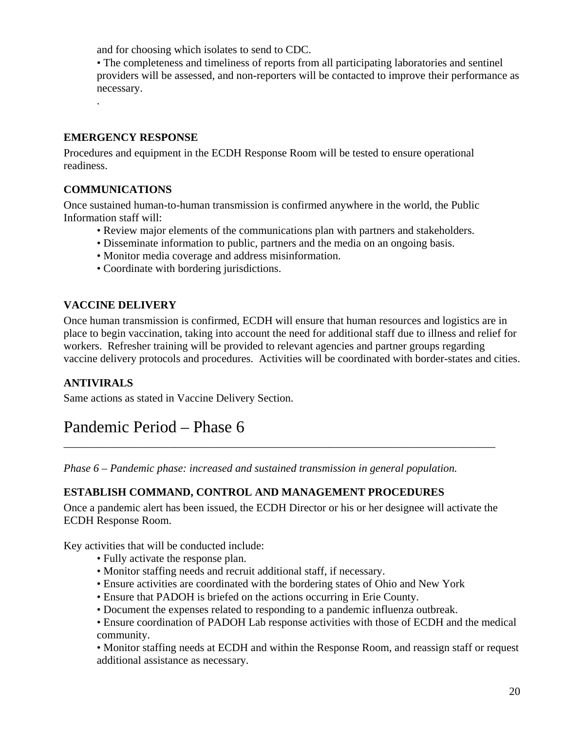and for choosing which isolates to send to CDC.

• The completeness and timeliness of reports from all participating laboratories and sentinel providers will be assessed, and non-reporters will be contacted to improve their performance as necessary. .

#### **EMERGENCY RESPONSE**

Procedures and equipment in the ECDH Response Room will be tested to ensure operational readiness.

#### **COMMUNICATIONS**

Once sustained human-to-human transmission is confirmed anywhere in the world, the Public Information staff will:

- Review major elements of the communications plan with partners and stakeholders.
- Disseminate information to public, partners and the media on an ongoing basis.
- Monitor media coverage and address misinformation.
- Coordinate with bordering jurisdictions.

#### **VACCINE DELIVERY**

Once human transmission is confirmed, ECDH will ensure that human resources and logistics are in place to begin vaccination, taking into account the need for additional staff due to illness and relief for workers. Refresher training will be provided to relevant agencies and partner groups regarding vaccine delivery protocols and procedures. Activities will be coordinated with border-states and cities.

#### **ANTIVIRALS**

Same actions as stated in Vaccine Delivery Section.

### Pandemic Period – Phase 6

*Phase 6 – Pandemic phase: increased and sustained transmission in general population.* 

#### **ESTABLISH COMMAND, CONTROL AND MANAGEMENT PROCEDURES**

Once a pandemic alert has been issued, the ECDH Director or his or her designee will activate the ECDH Response Room.

\_\_\_\_\_\_\_\_\_\_\_\_\_\_\_\_\_\_\_\_\_\_\_\_\_\_\_\_\_\_\_\_\_\_\_\_\_\_\_\_\_\_\_\_\_\_\_\_\_\_\_\_\_\_\_\_\_\_\_\_\_\_\_\_\_\_\_\_\_\_\_\_\_\_\_\_\_\_

Key activities that will be conducted include:

- Fully activate the response plan.
- Monitor staffing needs and recruit additional staff, if necessary.
- Ensure activities are coordinated with the bordering states of Ohio and New York
- Ensure that PADOH is briefed on the actions occurring in Erie County.
- Document the expenses related to responding to a pandemic influenza outbreak.
- Ensure coordination of PADOH Lab response activities with those of ECDH and the medical community.

• Monitor staffing needs at ECDH and within the Response Room, and reassign staff or request additional assistance as necessary.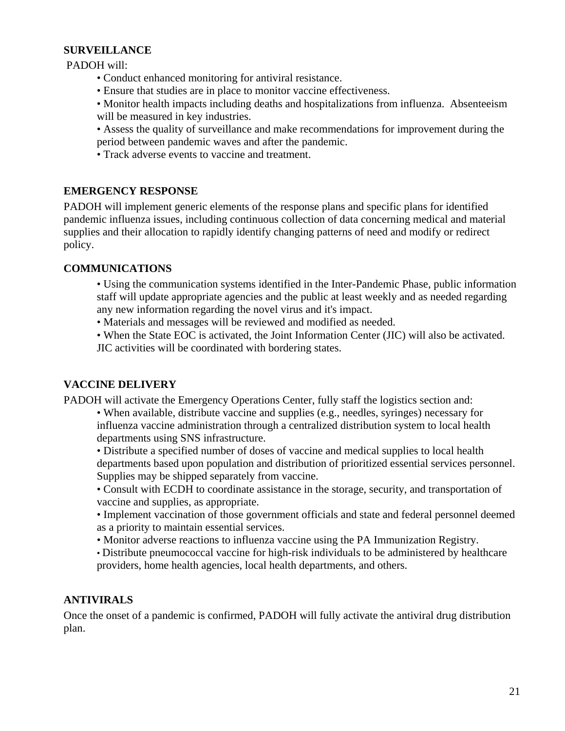#### **SURVEILLANCE**

PADOH will:

- Conduct enhanced monitoring for antiviral resistance.
- Ensure that studies are in place to monitor vaccine effectiveness.
- Monitor health impacts including deaths and hospitalizations from influenza. Absenteeism will be measured in key industries.
- Assess the quality of surveillance and make recommendations for improvement during the period between pandemic waves and after the pandemic.
- Track adverse events to vaccine and treatment.

#### **EMERGENCY RESPONSE**

PADOH will implement generic elements of the response plans and specific plans for identified pandemic influenza issues, including continuous collection of data concerning medical and material supplies and their allocation to rapidly identify changing patterns of need and modify or redirect policy.

#### **COMMUNICATIONS**

- Using the communication systems identified in the Inter-Pandemic Phase, public information staff will update appropriate agencies and the public at least weekly and as needed regarding any new information regarding the novel virus and it's impact.
- Materials and messages will be reviewed and modified as needed.
- When the State EOC is activated, the Joint Information Center (JIC) will also be activated.

JIC activities will be coordinated with bordering states.

#### **VACCINE DELIVERY**

PADOH will activate the Emergency Operations Center, fully staff the logistics section and:

- When available, distribute vaccine and supplies (e.g., needles, syringes) necessary for influenza vaccine administration through a centralized distribution system to local health departments using SNS infrastructure.
- Distribute a specified number of doses of vaccine and medical supplies to local health departments based upon population and distribution of prioritized essential services personnel. Supplies may be shipped separately from vaccine.
- Consult with ECDH to coordinate assistance in the storage, security, and transportation of vaccine and supplies, as appropriate.
- Implement vaccination of those government officials and state and federal personnel deemed as a priority to maintain essential services.
- Monitor adverse reactions to influenza vaccine using the PA Immunization Registry.
- Distribute pneumococcal vaccine for high-risk individuals to be administered by healthcare providers, home health agencies, local health departments, and others.

#### **ANTIVIRALS**

Once the onset of a pandemic is confirmed, PADOH will fully activate the antiviral drug distribution plan.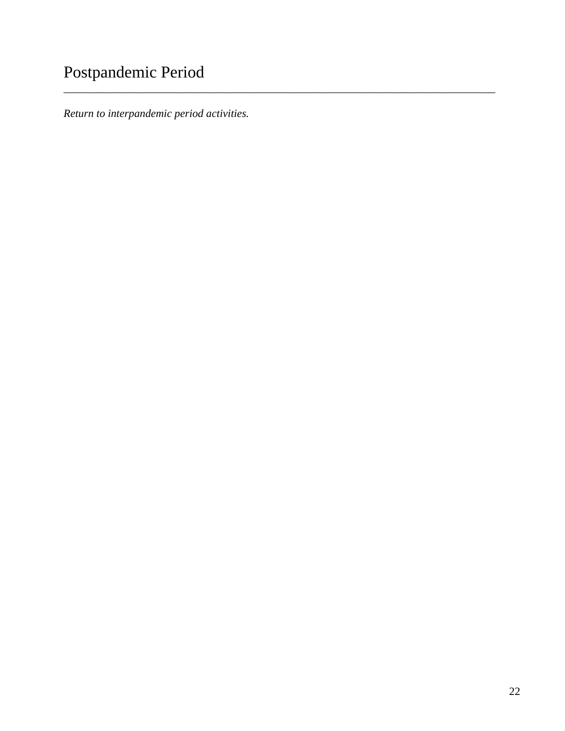# Postpandemic Period

*Return to interpandemic period activities.* 

\_\_\_\_\_\_\_\_\_\_\_\_\_\_\_\_\_\_\_\_\_\_\_\_\_\_\_\_\_\_\_\_\_\_\_\_\_\_\_\_\_\_\_\_\_\_\_\_\_\_\_\_\_\_\_\_\_\_\_\_\_\_\_\_\_\_\_\_\_\_\_\_\_\_\_\_\_\_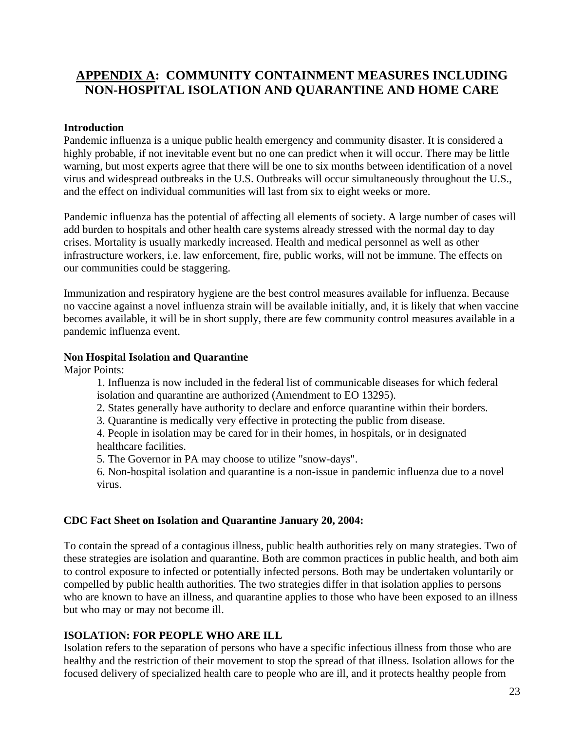### **APPENDIX A: COMMUNITY CONTAINMENT MEASURES INCLUDING NON-HOSPITAL ISOLATION AND QUARANTINE AND HOME CARE**

#### **Introduction**

Pandemic influenza is a unique public health emergency and community disaster. It is considered a highly probable, if not inevitable event but no one can predict when it will occur. There may be little warning, but most experts agree that there will be one to six months between identification of a novel virus and widespread outbreaks in the U.S. Outbreaks will occur simultaneously throughout the U.S., and the effect on individual communities will last from six to eight weeks or more.

Pandemic influenza has the potential of affecting all elements of society. A large number of cases will add burden to hospitals and other health care systems already stressed with the normal day to day crises. Mortality is usually markedly increased. Health and medical personnel as well as other infrastructure workers, i.e. law enforcement, fire, public works, will not be immune. The effects on our communities could be staggering.

Immunization and respiratory hygiene are the best control measures available for influenza. Because no vaccine against a novel influenza strain will be available initially, and, it is likely that when vaccine becomes available, it will be in short supply, there are few community control measures available in a pandemic influenza event.

#### **Non Hospital Isolation and Quarantine**

Major Points:

1. Influenza is now included in the federal list of communicable diseases for which federal isolation and quarantine are authorized (Amendment to EO 13295).

- 2. States generally have authority to declare and enforce quarantine within their borders.
- 3. Quarantine is medically very effective in protecting the public from disease.

4. People in isolation may be cared for in their homes, in hospitals, or in designated healthcare facilities.

5. The Governor in PA may choose to utilize "snow-days".

6. Non-hospital isolation and quarantine is a non-issue in pandemic influenza due to a novel virus.

#### **CDC Fact Sheet on Isolation and Quarantine January 20, 2004:**

To contain the spread of a contagious illness, public health authorities rely on many strategies. Two of these strategies are isolation and quarantine. Both are common practices in public health, and both aim to control exposure to infected or potentially infected persons. Both may be undertaken voluntarily or compelled by public health authorities. The two strategies differ in that isolation applies to persons who are known to have an illness, and quarantine applies to those who have been exposed to an illness but who may or may not become ill.

#### **ISOLATION: FOR PEOPLE WHO ARE ILL**

Isolation refers to the separation of persons who have a specific infectious illness from those who are healthy and the restriction of their movement to stop the spread of that illness. Isolation allows for the focused delivery of specialized health care to people who are ill, and it protects healthy people from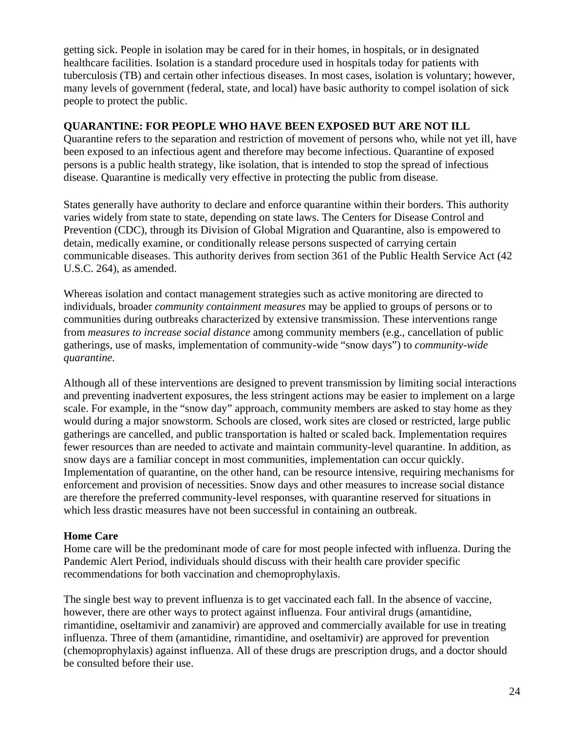getting sick. People in isolation may be cared for in their homes, in hospitals, or in designated healthcare facilities. Isolation is a standard procedure used in hospitals today for patients with tuberculosis (TB) and certain other infectious diseases. In most cases, isolation is voluntary; however, many levels of government (federal, state, and local) have basic authority to compel isolation of sick people to protect the public.

#### **QUARANTINE: FOR PEOPLE WHO HAVE BEEN EXPOSED BUT ARE NOT ILL**

Quarantine refers to the separation and restriction of movement of persons who, while not yet ill, have been exposed to an infectious agent and therefore may become infectious. Quarantine of exposed persons is a public health strategy, like isolation, that is intended to stop the spread of infectious disease. Quarantine is medically very effective in protecting the public from disease.

States generally have authority to declare and enforce quarantine within their borders. This authority varies widely from state to state, depending on state laws. The Centers for Disease Control and Prevention (CDC), through its Division of Global Migration and Quarantine, also is empowered to detain, medically examine, or conditionally release persons suspected of carrying certain communicable diseases. This authority derives from section 361 of the Public Health Service Act (42 U.S.C. 264), as amended.

Whereas isolation and contact management strategies such as active monitoring are directed to individuals, broader *community containment measures* may be applied to groups of persons or to communities during outbreaks characterized by extensive transmission. These interventions range from *measures to increase social distance* among community members (e.g., cancellation of public gatherings, use of masks, implementation of community-wide "snow days") to *community-wide quarantine.* 

Although all of these interventions are designed to prevent transmission by limiting social interactions and preventing inadvertent exposures, the less stringent actions may be easier to implement on a large scale. For example, in the "snow day" approach, community members are asked to stay home as they would during a major snowstorm. Schools are closed, work sites are closed or restricted, large public gatherings are cancelled, and public transportation is halted or scaled back. Implementation requires fewer resources than are needed to activate and maintain community-level quarantine. In addition, as snow days are a familiar concept in most communities, implementation can occur quickly. Implementation of quarantine, on the other hand, can be resource intensive, requiring mechanisms for enforcement and provision of necessities. Snow days and other measures to increase social distance are therefore the preferred community-level responses, with quarantine reserved for situations in which less drastic measures have not been successful in containing an outbreak.

#### **Home Care**

Home care will be the predominant mode of care for most people infected with influenza. During the Pandemic Alert Period, individuals should discuss with their health care provider specific recommendations for both vaccination and chemoprophylaxis.

The single best way to prevent influenza is to get vaccinated each fall. In the absence of vaccine, however, there are other ways to protect against influenza. Four antiviral drugs (amantidine, rimantidine, oseltamivir and zanamivir) are approved and commercially available for use in treating influenza. Three of them (amantidine, rimantidine, and oseltamivir) are approved for prevention (chemoprophylaxis) against influenza. All of these drugs are prescription drugs, and a doctor should be consulted before their use.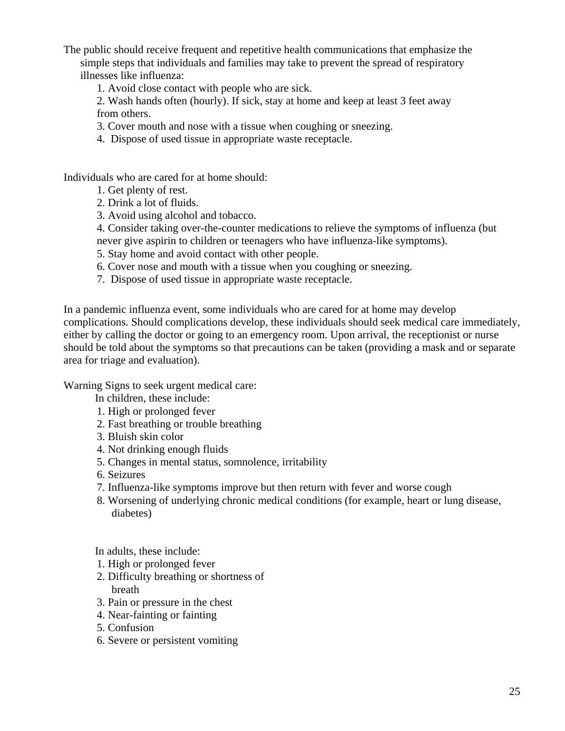The public should receive frequent and repetitive health communications that emphasize the simple steps that individuals and families may take to prevent the spread of respiratory illnesses like influenza:

1. Avoid close contact with people who are sick.

2. Wash hands often (hourly). If sick, stay at home and keep at least 3 feet away from others.

3. Cover mouth and nose with a tissue when coughing or sneezing.

4. Dispose of used tissue in appropriate waste receptacle.

Individuals who are cared for at home should:

- 1. Get plenty of rest.
- 2. Drink a lot of fluids.
- 3. Avoid using alcohol and tobacco.
- 4. Consider taking over-the-counter medications to relieve the symptoms of influenza (but
- never give aspirin to children or teenagers who have influenza-like symptoms).
- 5. Stay home and avoid contact with other people.
- 6. Cover nose and mouth with a tissue when you coughing or sneezing.
- 7. Dispose of used tissue in appropriate waste receptacle.

In a pandemic influenza event, some individuals who are cared for at home may develop complications. Should complications develop, these individuals should seek medical care immediately, either by calling the doctor or going to an emergency room. Upon arrival, the receptionist or nurse should be told about the symptoms so that precautions can be taken (providing a mask and or separate area for triage and evaluation).

Warning Signs to seek urgent medical care:

In children, these include:

- 1. High or prolonged fever
- 2. Fast breathing or trouble breathing
- 3. Bluish skin color
- 4. Not drinking enough fluids
- 5. Changes in mental status, somnolence, irritability
- 6. Seizures
- 7. Influenza-like symptoms improve but then return with fever and worse cough
- 8. Worsening of underlying chronic medical conditions (for example, heart or lung disease, diabetes)

In adults, these include:

- 1. High or prolonged fever
- 2. Difficulty breathing or shortness of breath
- 3. Pain or pressure in the chest
- 4. Near-fainting or fainting
- 5. Confusion
- 6. Severe or persistent vomiting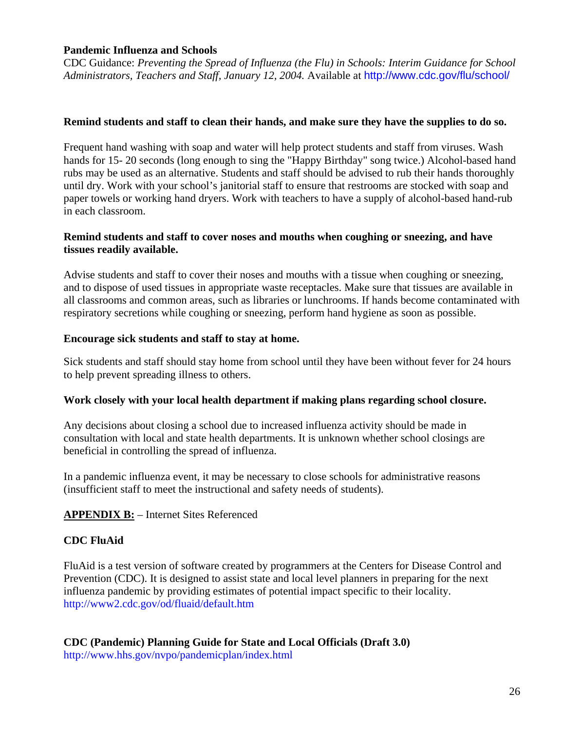#### **Pandemic Influenza and Schools**

CDC Guidance: *Preventing the Spread of Influenza (the Flu) in Schools: Interim Guidance for School Administrators, Teachers and Staff, January 12, 2004.* Available at http://www.cdc.gov/flu/school/

#### **Remind students and staff to clean their hands, and make sure they have the supplies to do so.**

Frequent hand washing with soap and water will help protect students and staff from viruses. Wash hands for 15- 20 seconds (long enough to sing the "Happy Birthday" song twice.) Alcohol-based hand rubs may be used as an alternative. Students and staff should be advised to rub their hands thoroughly until dry. Work with your school's janitorial staff to ensure that restrooms are stocked with soap and paper towels or working hand dryers. Work with teachers to have a supply of alcohol-based hand-rub in each classroom.

#### **Remind students and staff to cover noses and mouths when coughing or sneezing, and have tissues readily available.**

Advise students and staff to cover their noses and mouths with a tissue when coughing or sneezing, and to dispose of used tissues in appropriate waste receptacles. Make sure that tissues are available in all classrooms and common areas, such as libraries or lunchrooms. If hands become contaminated with respiratory secretions while coughing or sneezing, perform hand hygiene as soon as possible.

#### **Encourage sick students and staff to stay at home.**

Sick students and staff should stay home from school until they have been without fever for 24 hours to help prevent spreading illness to others.

#### **Work closely with your local health department if making plans regarding school closure.**

Any decisions about closing a school due to increased influenza activity should be made in consultation with local and state health departments. It is unknown whether school closings are beneficial in controlling the spread of influenza.

In a pandemic influenza event, it may be necessary to close schools for administrative reasons (insufficient staff to meet the instructional and safety needs of students).

#### **APPENDIX B:** – Internet Sites Referenced

#### **CDC FluAid**

FluAid is a test version of software created by programmers at the Centers for Disease Control and Prevention (CDC). It is designed to assist state and local level planners in preparing for the next influenza pandemic by providing estimates of potential impact specific to their locality. http://www2.cdc.gov/od/fluaid/default.htm

#### **CDC (Pandemic) Planning Guide for State and Local Officials (Draft 3.0)**  http://www.hhs.gov/nvpo/pandemicplan/index.html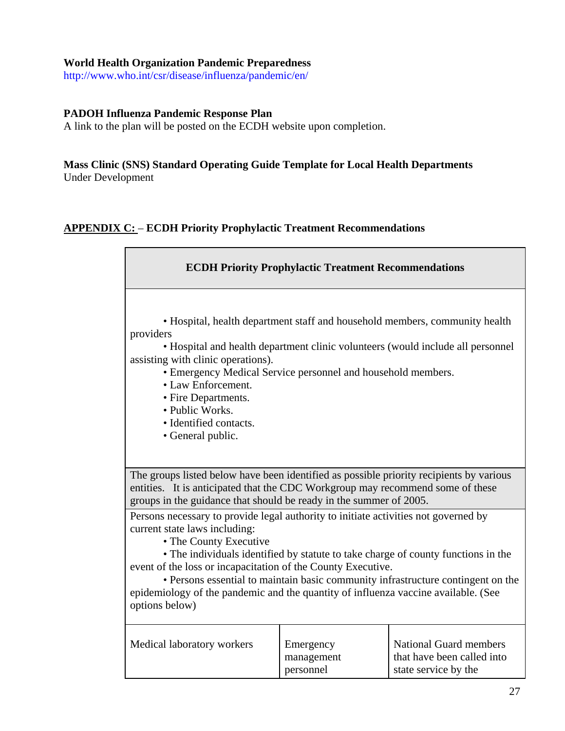#### **World Health Organization Pandemic Preparedness**

http://www.who.int/csr/disease/influenza/pandemic/en/

#### **PADOH Influenza Pandemic Response Plan**

A link to the plan will be posted on the ECDH website upon completion.

#### **Mass Clinic (SNS) Standard Operating Guide Template for Local Health Departments**  Under Development

#### **APPENDIX C:** – **ECDH Priority Prophylactic Treatment Recommendations**

| <b>ECDH Priority Prophylactic Treatment Recommendations</b>                                                                                                                                                                                                                                                                                                                                                                                                                                     |                                      |                                                                                     |  |  |  |  |
|-------------------------------------------------------------------------------------------------------------------------------------------------------------------------------------------------------------------------------------------------------------------------------------------------------------------------------------------------------------------------------------------------------------------------------------------------------------------------------------------------|--------------------------------------|-------------------------------------------------------------------------------------|--|--|--|--|
| • Hospital, health department staff and household members, community health<br>providers<br>• Hospital and health department clinic volunteers (would include all personnel<br>assisting with clinic operations).<br>• Emergency Medical Service personnel and household members.<br>• Law Enforcement.<br>• Fire Departments.<br>• Public Works.<br>• Identified contacts.<br>• General public.                                                                                                |                                      |                                                                                     |  |  |  |  |
| The groups listed below have been identified as possible priority recipients by various<br>entities. It is anticipated that the CDC Workgroup may recommend some of these<br>groups in the guidance that should be ready in the summer of 2005.                                                                                                                                                                                                                                                 |                                      |                                                                                     |  |  |  |  |
| Persons necessary to provide legal authority to initiate activities not governed by<br>current state laws including:<br>• The County Executive<br>• The individuals identified by statute to take charge of county functions in the<br>event of the loss or incapacitation of the County Executive.<br>• Persons essential to maintain basic community infrastructure contingent on the<br>epidemiology of the pandemic and the quantity of influenza vaccine available. (See<br>options below) |                                      |                                                                                     |  |  |  |  |
| Medical laboratory workers                                                                                                                                                                                                                                                                                                                                                                                                                                                                      | Emergency<br>management<br>personnel | <b>National Guard members</b><br>that have been called into<br>state service by the |  |  |  |  |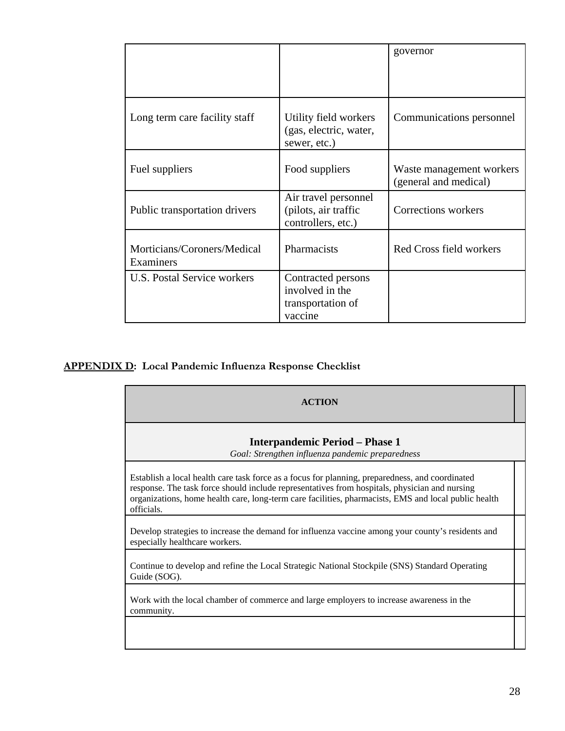|                                          |                                                                       | governor                                          |
|------------------------------------------|-----------------------------------------------------------------------|---------------------------------------------------|
| Long term care facility staff            | Utility field workers<br>(gas, electric, water,<br>sewer, etc.)       | Communications personnel                          |
| Fuel suppliers                           | Food suppliers                                                        | Waste management workers<br>(general and medical) |
| Public transportation drivers            | Air travel personnel<br>(pilots, air traffic<br>controllers, etc.)    | Corrections workers                               |
| Morticians/Coroners/Medical<br>Examiners | Pharmacists                                                           | Red Cross field workers                           |
| U.S. Postal Service workers              | Contracted persons<br>involved in the<br>transportation of<br>vaccine |                                                   |

#### **APPENDIX D: Local Pandemic Influenza Response Checklist**

| <b>ACTION</b>                                                                                                                                                                                                                                                                                                          |  |
|------------------------------------------------------------------------------------------------------------------------------------------------------------------------------------------------------------------------------------------------------------------------------------------------------------------------|--|
| <b>Interpandemic Period – Phase 1</b><br>Goal: Strengthen influenza pandemic preparedness                                                                                                                                                                                                                              |  |
| Establish a local health care task force as a focus for planning, preparedness, and coordinated<br>response. The task force should include representatives from hospitals, physician and nursing<br>organizations, home health care, long-term care facilities, pharmacists, EMS and local public health<br>officials. |  |
| Develop strategies to increase the demand for influenza vaccine among your county's residents and<br>especially healthcare workers.                                                                                                                                                                                    |  |
| Continue to develop and refine the Local Strategic National Stockpile (SNS) Standard Operating<br>Guide (SOG).                                                                                                                                                                                                         |  |
| Work with the local chamber of commerce and large employers to increase awareness in the<br>community.                                                                                                                                                                                                                 |  |
|                                                                                                                                                                                                                                                                                                                        |  |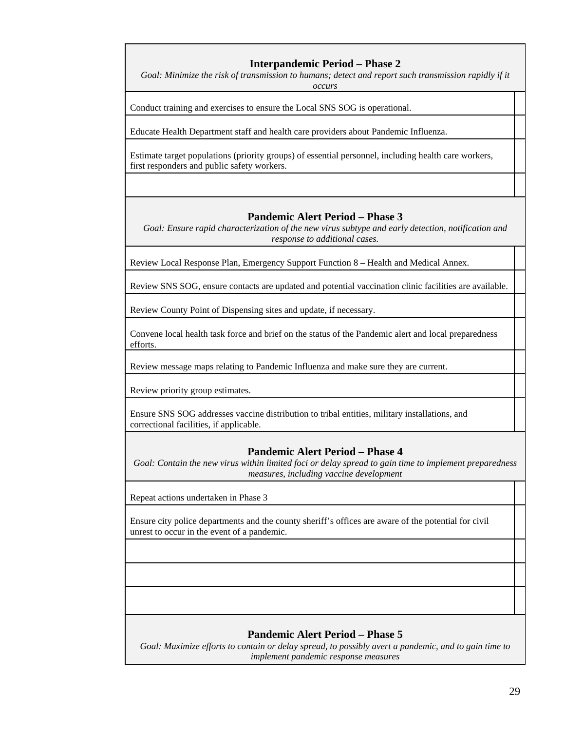#### **Interpandemic Period – Phase 2**

Goal: Minimize the risk of transmission to humans; detect and report such transmission rapidly if it *occurs* 

Conduct training and exercises to ensure the Local SNS SOG is operational.

Educate Health Department staff and health care providers about Pandemic Influenza.

Estimate target populations (priority groups) of essential personnel, including health care workers, first responders and public safety workers.

#### **Pandemic Alert Period – Phase 3**

*Goal: Ensure rapid characterization of the new virus subtype and early detection, notification and response to additional cases.* 

Review Local Response Plan, Emergency Support Function 8 – Health and Medical Annex.

Review SNS SOG, ensure contacts are updated and potential vaccination clinic facilities are available.

Review County Point of Dispensing sites and update, if necessary.

Convene local health task force and brief on the status of the Pandemic alert and local preparedness efforts.

Review message maps relating to Pandemic Influenza and make sure they are current.

Review priority group estimates.

Ensure SNS SOG addresses vaccine distribution to tribal entities, military installations, and correctional facilities, if applicable.

#### **Pandemic Alert Period – Phase 4**

*Goal: Contain the new virus within limited foci or delay spread to gain time to implement preparedness measures, including vaccine development* 

Repeat actions undertaken in Phase 3

Ensure city police departments and the county sheriff's offices are aware of the potential for civil unrest to occur in the event of a pandemic.

#### **Pandemic Alert Period – Phase 5**

*Goal: Maximize efforts to contain or delay spread, to possibly avert a pandemic, and to gain time to implement pandemic response measures*